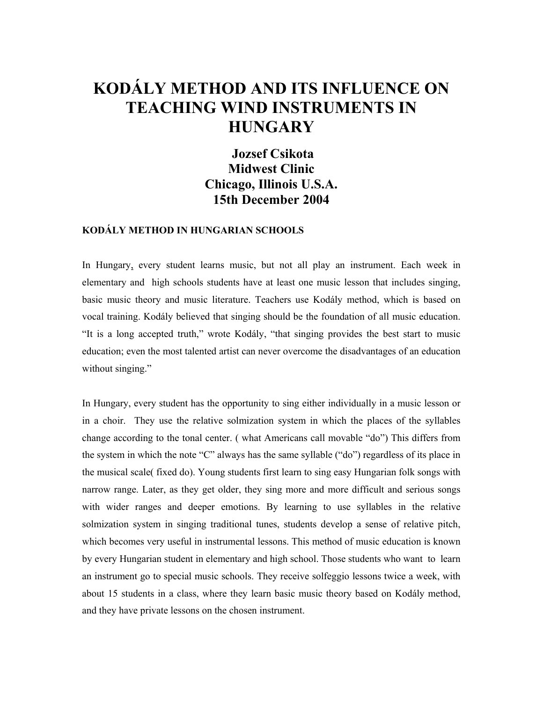# **KODÁLY METHOD AND ITS INFLUENCE ON TEACHING WIND INSTRUMENTS IN HUNGARY**

 **Jozsef Csikota Midwest Clinic Chicago, Illinois U.S.A. 15th December 2004** 

## **KODÁLY METHOD IN HUNGARIAN SCHOOLS**

In Hungary, every student learns music, but not all play an instrument. Each week in elementary and high schools students have at least one music lesson that includes singing, basic music theory and music literature. Teachers use Kodály method, which is based on vocal training. Kodály believed that singing should be the foundation of all music education. "It is a long accepted truth," wrote Kodály, "that singing provides the best start to music education; even the most talented artist can never overcome the disadvantages of an education without singing."

In Hungary, every student has the opportunity to sing either individually in a music lesson or in a choir. They use the relative solmization system in which the places of the syllables change according to the tonal center. ( what Americans call movable "do") This differs from the system in which the note "C" always has the same syllable ("do") regardless of its place in the musical scale( fixed do). Young students first learn to sing easy Hungarian folk songs with narrow range. Later, as they get older, they sing more and more difficult and serious songs with wider ranges and deeper emotions. By learning to use syllables in the relative solmization system in singing traditional tunes, students develop a sense of relative pitch, which becomes very useful in instrumental lessons. This method of music education is known by every Hungarian student in elementary and high school. Those students who want to learn an instrument go to special music schools. They receive solfeggio lessons twice a week, with about 15 students in a class, where they learn basic music theory based on Kodály method, and they have private lessons on the chosen instrument.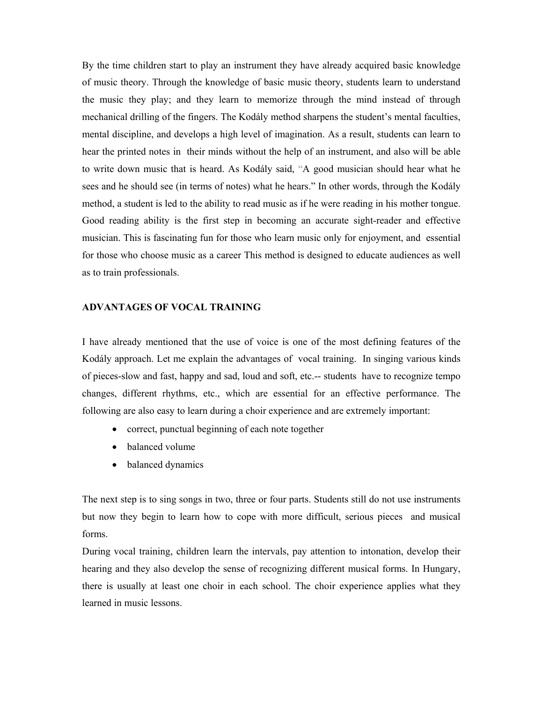By the time children start to play an instrument they have already acquired basic knowledge of music theory. Through the knowledge of basic music theory, students learn to understand the music they play; and they learn to memorize through the mind instead of through mechanical drilling of the fingers. The Kodály method sharpens the student's mental faculties, mental discipline, and develops a high level of imagination. As a result, students can learn to hear the printed notes in their minds without the help of an instrument, and also will be able to write down music that is heard. As Kodály said, "A good musician should hear what he sees and he should see (in terms of notes) what he hears." In other words, through the Kodály method, a student is led to the ability to read music as if he were reading in his mother tongue. Good reading ability is the first step in becoming an accurate sight-reader and effective musician. This is fascinating fun for those who learn music only for enjoyment, and essential for those who choose music as a career This method is designed to educate audiences as well as to train professionals.

#### **ADVANTAGES OF VOCAL TRAINING**

I have already mentioned that the use of voice is one of the most defining features of the Kodály approach. Let me explain the advantages of vocal training. In singing various kinds of pieces-slow and fast, happy and sad, loud and soft, etc.-- students have to recognize tempo changes, different rhythms, etc., which are essential for an effective performance. The following are also easy to learn during a choir experience and are extremely important:

- correct, punctual beginning of each note together
- balanced volume
- balanced dynamics

The next step is to sing songs in two, three or four parts. Students still do not use instruments but now they begin to learn how to cope with more difficult, serious pieces and musical forms.

During vocal training, children learn the intervals, pay attention to intonation, develop their hearing and they also develop the sense of recognizing different musical forms. In Hungary, there is usually at least one choir in each school. The choir experience applies what they learned in music lessons.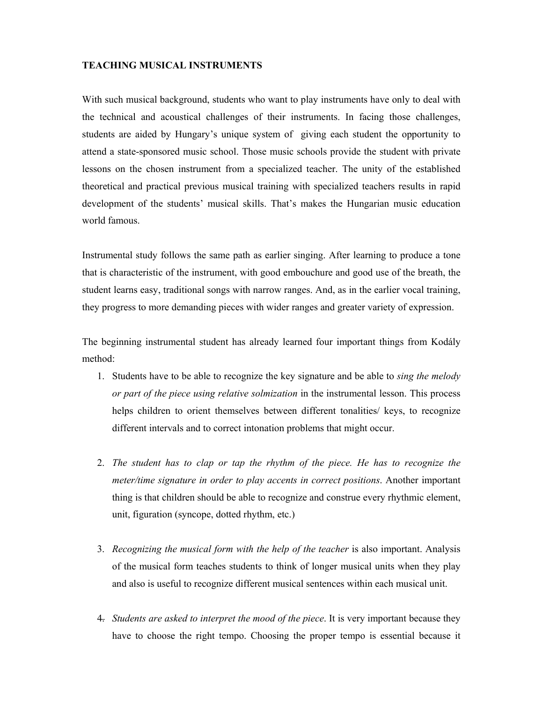### **TEACHING MUSICAL INSTRUMENTS**

With such musical background, students who want to play instruments have only to deal with the technical and acoustical challenges of their instruments. In facing those challenges, students are aided by Hungary's unique system of giving each student the opportunity to attend a state-sponsored music school. Those music schools provide the student with private lessons on the chosen instrument from a specialized teacher. The unity of the established theoretical and practical previous musical training with specialized teachers results in rapid development of the students' musical skills. That's makes the Hungarian music education world famous.

Instrumental study follows the same path as earlier singing. After learning to produce a tone that is characteristic of the instrument, with good embouchure and good use of the breath, the student learns easy, traditional songs with narrow ranges. And, as in the earlier vocal training, they progress to more demanding pieces with wider ranges and greater variety of expression.

The beginning instrumental student has already learned four important things from Kodály method:

- 1. Students have to be able to recognize the key signature and be able to *sing the melody or part of the piece using relative solmization* in the instrumental lesson. This process helps children to orient themselves between different tonalities/ keys, to recognize different intervals and to correct intonation problems that might occur.
- 2. *The student has to clap or tap the rhythm of the piece. He has to recognize the meter/time signature in order to play accents in correct positions*. Another important thing is that children should be able to recognize and construe every rhythmic element, unit, figuration (syncope, dotted rhythm, etc.)
- 3. *Recognizing the musical form with the help of the teacher* is also important. Analysis of the musical form teaches students to think of longer musical units when they play and also is useful to recognize different musical sentences within each musical unit.
- 4. *Students are asked to interpret the mood of the piece*. It is very important because they have to choose the right tempo. Choosing the proper tempo is essential because it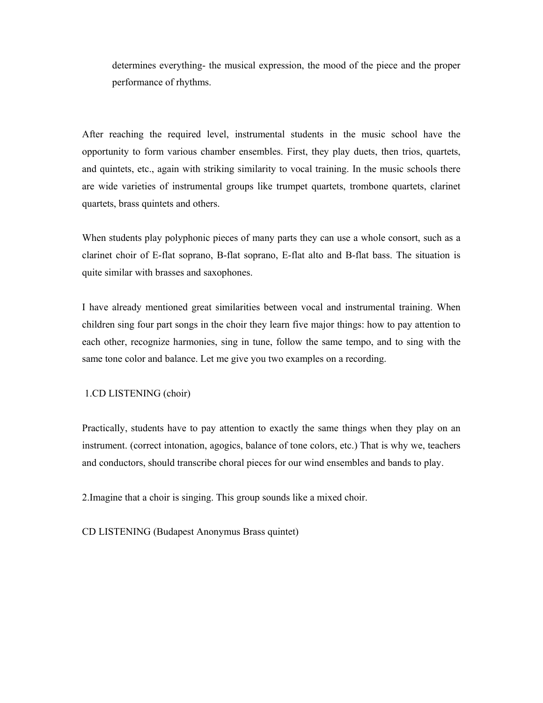determines everything- the musical expression, the mood of the piece and the proper performance of rhythms.

After reaching the required level, instrumental students in the music school have the opportunity to form various chamber ensembles. First, they play duets, then trios, quartets, and quintets, etc., again with striking similarity to vocal training. In the music schools there are wide varieties of instrumental groups like trumpet quartets, trombone quartets, clarinet quartets, brass quintets and others.

When students play polyphonic pieces of many parts they can use a whole consort, such as a clarinet choir of E-flat soprano, B-flat soprano, E-flat alto and B-flat bass. The situation is quite similar with brasses and saxophones.

I have already mentioned great similarities between vocal and instrumental training. When children sing four part songs in the choir they learn five major things: how to pay attention to each other, recognize harmonies, sing in tune, follow the same tempo, and to sing with the same tone color and balance. Let me give you two examples on a recording.

## 1.CD LISTENING (choir)

Practically, students have to pay attention to exactly the same things when they play on an instrument. (correct intonation, agogics, balance of tone colors, etc.) That is why we, teachers and conductors, should transcribe choral pieces for our wind ensembles and bands to play.

2.Imagine that a choir is singing. This group sounds like a mixed choir.

CD LISTENING (Budapest Anonymus Brass quintet)